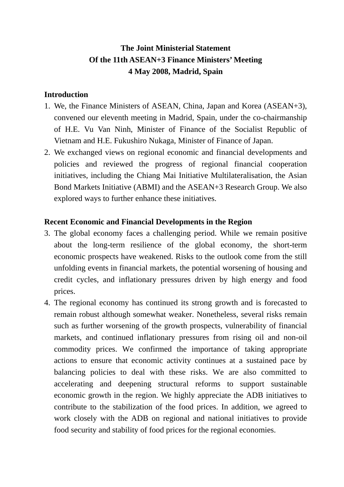# **The Joint Ministerial Statement Of the 11th ASEAN+3 Finance Ministers' Meeting 4 May 2008, Madrid, Spain**

### **Introduction**

- 1. We, the Finance Ministers of ASEAN, China, Japan and Korea (ASEAN+3), convened our eleventh meeting in Madrid, Spain, under the co-chairmanship of H.E. Vu Van Ninh, Minister of Finance of the Socialist Republic of Vietnam and H.E. Fukushiro Nukaga, Minister of Finance of Japan.
- 2. We exchanged views on regional economic and financial developments and policies and reviewed the progress of regional financial cooperation initiatives, including the Chiang Mai Initiative Multilateralisation, the Asian Bond Markets Initiative (ABMI) and the ASEAN+3 Research Group. We also explored ways to further enhance these initiatives.

### **Recent Economic and Financial Developments in the Region**

- 3. The global economy faces a challenging period. While we remain positive about the long-term resilience of the global economy, the short-term economic prospects have weakened. Risks to the outlook come from the still unfolding events in financial markets, the potential worsening of housing and credit cycles, and inflationary pressures driven by high energy and food prices.
- 4. The regional economy has continued its strong growth and is forecasted to remain robust although somewhat weaker. Nonetheless, several risks remain such as further worsening of the growth prospects, vulnerability of financial markets, and continued inflationary pressures from rising oil and non-oil commodity prices. We confirmed the importance of taking appropriate actions to ensure that economic activity continues at a sustained pace by balancing policies to deal with these risks. We are also committed to accelerating and deepening structural reforms to support sustainable economic growth in the region. We highly appreciate the ADB initiatives to contribute to the stabilization of the food prices. In addition, we agreed to work closely with the ADB on regional and national initiatives to provide food security and stability of food prices for the regional economies.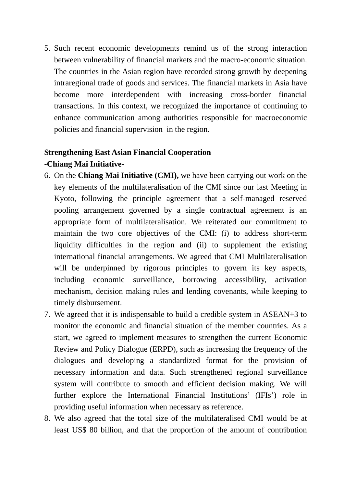5. Such recent economic developments remind us of the strong interaction between vulnerability of financial markets and the macro-economic situation. The countries in the Asian region have recorded strong growth by deepening intraregional trade of goods and services. The financial markets in Asia have become more interdependent with increasing cross-border financial transactions. In this context, we recognized the importance of continuing to enhance communication among authorities responsible for macroeconomic policies and financial supervision in the region.

# **Strengthening East Asian Financial Cooperation -Chiang Mai Initiative-**

- 6. On the **Chiang Mai Initiative (CMI),** we have been carrying out work on the key elements of the multilateralisation of the CMI since our last Meeting in Kyoto, following the principle agreement that a self-managed reserved pooling arrangement governed by a single contractual agreement is an appropriate form of multilateralisation. We reiterated our commitment to maintain the two core objectives of the CMI: (i) to address short-term liquidity difficulties in the region and (ii) to supplement the existing international financial arrangements. We agreed that CMI Multilateralisation will be underpinned by rigorous principles to govern its key aspects, including economic surveillance, borrowing accessibility, activation mechanism, decision making rules and lending covenants, while keeping to timely disbursement.
- 7. We agreed that it is indispensable to build a credible system in ASEAN+3 to monitor the economic and financial situation of the member countries. As a start, we agreed to implement measures to strengthen the current Economic Review and Policy Dialogue (ERPD), such as increasing the frequency of the dialogues and developing a standardized format for the provision of necessary information and data. Such strengthened regional surveillance system will contribute to smooth and efficient decision making. We will further explore the International Financial Institutions' (IFIs') role in providing useful information when necessary as reference.
- 8. We also agreed that the total size of the multilateralised CMI would be at least US\$ 80 billion, and that the proportion of the amount of contribution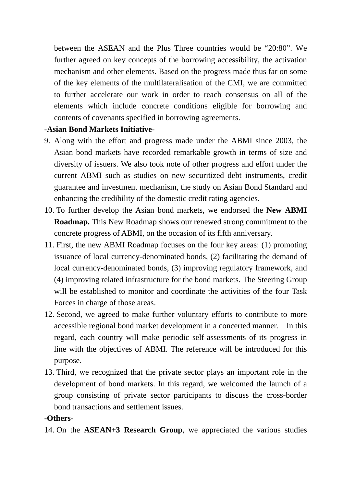between the ASEAN and the Plus Three countries would be "20:80". We further agreed on key concepts of the borrowing accessibility, the activation mechanism and other elements. Based on the progress made thus far on some of the key elements of the multilateralisation of the CMI, we are committed to further accelerate our work in order to reach consensus on all of the elements which include concrete conditions eligible for borrowing and contents of covenants specified in borrowing agreements.

# **-Asian Bond Markets Initiative-**

- 9. Along with the effort and progress made under the ABMI since 2003, the Asian bond markets have recorded remarkable growth in terms of size and diversity of issuers. We also took note of other progress and effort under the current ABMI such as studies on new securitized debt instruments, credit guarantee and investment mechanism, the study on Asian Bond Standard and enhancing the credibility of the domestic credit rating agencies.
- 10. To further develop the Asian bond markets, we endorsed the **New ABMI Roadmap.** This New Roadmap shows our renewed strong commitment to the concrete progress of ABMI, on the occasion of its fifth anniversary.
- 11. First, the new ABMI Roadmap focuses on the four key areas: (1) promoting issuance of local currency-denominated bonds, (2) facilitating the demand of local currency-denominated bonds, (3) improving regulatory framework, and (4) improving related infrastructure for the bond markets. The Steering Group will be established to monitor and coordinate the activities of the four Task Forces in charge of those areas.
- 12. Second, we agreed to make further voluntary efforts to contribute to more accessible regional bond market development in a concerted manner. In this regard, each country will make periodic self-assessments of its progress in line with the objectives of ABMI. The reference will be introduced for this purpose.
- 13. Third, we recognized that the private sector plays an important role in the development of bond markets. In this regard, we welcomed the launch of a group consisting of private sector participants to discuss the cross-border bond transactions and settlement issues.

## **-Others-**

14. On the **ASEAN+3 Research Group**, we appreciated the various studies